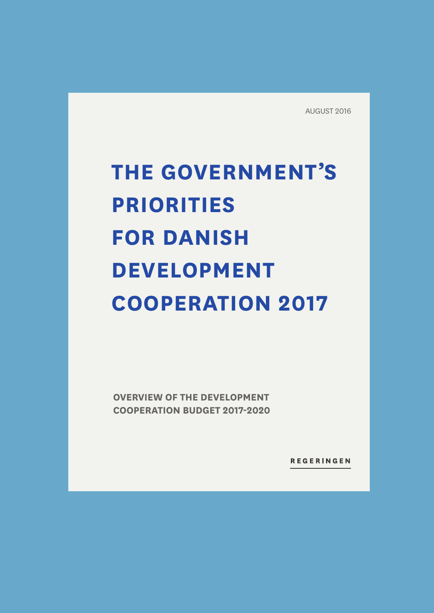AUGUST 2016

# **THE GOVERNMENT'S PRIORITIES FOR DANISH DEVELOPMENT COOPERATION 2017**

**OVERVIEW OF THE DEVELOPMENT COOPERATION BUDGET 2017-2020**

REGERINGEN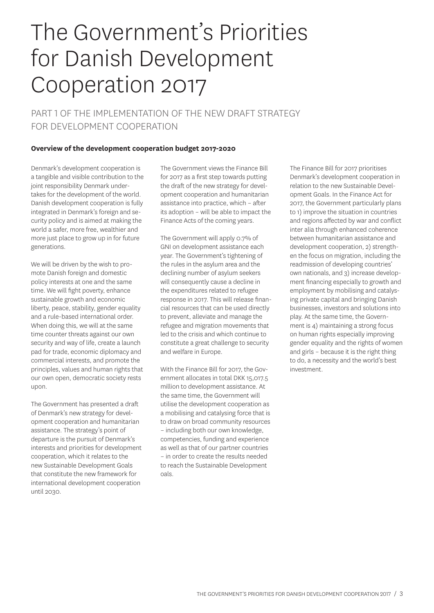# The Government's Priorities for Danish Development Cooperation 2017

PART 1 OF THE IMPLEMENTATION OF THE NEW DRAFT STRATEGY FOR DEVELOPMENT COOPERATION

### **Overview of the development cooperation budget 2017-2020**

Denmark's development cooperation is a tangible and visible contribution to the joint responsibility Denmark undertakes for the development of the world. Danish development cooperation is fully integrated in Denmark's foreign and security policy and is aimed at making the world a safer, more free, wealthier and more just place to grow up in for future generations.

We will be driven by the wish to promote Danish foreign and domestic policy interests at one and the same time. We will fight poverty, enhance sustainable growth and economic liberty, peace, stability, gender equality and a rule-based international order. When doing this, we will at the same time counter threats against our own security and way of life, create a launch pad for trade, economic diplomacy and commercial interests, and promote the principles, values and human rights that our own open, democratic society rests upon.

The Government has presented a draft of Denmark's new strategy for development cooperation and humanitarian assistance. The strategy's point of departure is the pursuit of Denmark's interests and priorities for development cooperation, which it relates to the new Sustainable Development Goals that constitute the new framework for international development cooperation until 2030.

The Government views the Finance Bill for 2017 as a first step towards putting the draft of the new strategy for development cooperation and humanitarian assistance into practice, which – after its adoption – will be able to impact the Finance Acts of the coming years.

The Government will apply 0.7% of GNI on development assistance each year. The Government's tightening of the rules in the asylum area and the declining number of asylum seekers will consequently cause a decline in the expenditures related to refugee response in 2017. This will release financial resources that can be used directly to prevent, alleviate and manage the refugee and migration movements that led to the crisis and which continue to constitute a great challenge to security and welfare in Europe.

With the Finance Bill for 2017, the Government allocates in total DKK 15,017.5 million to development assistance. At the same time, the Government will utilise the development cooperation as a mobilising and catalysing force that is to draw on broad community resources – including both our own knowledge, competencies, funding and experience as well as that of our partner countries – in order to create the results needed to reach the Sustainable Development oals.

The Finance Bill for 2017 prioritises Denmark's development cooperation in relation to the new Sustainable Development Goals. In the Finance Act for 2017, the Government particularly plans to 1) improve the situation in countries and regions affected by war and conflict inter alia through enhanced coherence between humanitarian assistance and development cooperation, 2) strengthen the focus on migration, including the readmission of developing countries' own nationals, and 3) increase development financing especially to growth and employment by mobilising and catalysing private capital and bringing Danish businesses, investors and solutions into play. At the same time, the Government is 4) maintaining a strong focus on human rights especially improving gender equality and the rights of women and girls – because it is the right thing to do, a necessity and the world's best investment.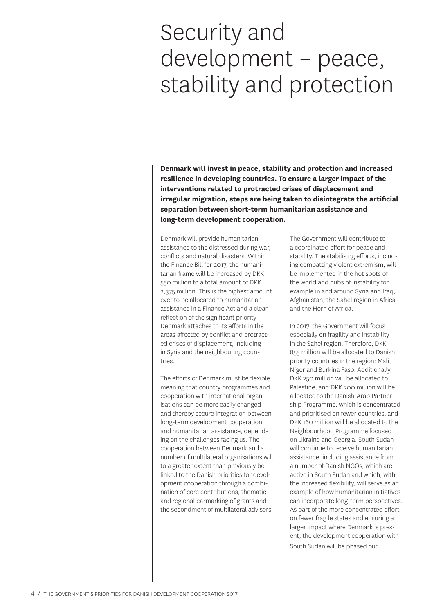# Security and development – peace, stability and protection

**Denmark will invest in peace, stability and protection and increased resilience in developing countries. To ensure a larger impact of the interventions related to protracted crises of displacement and irregular migration, steps are being taken to disintegrate the artificial separation between short-term humanitarian assistance and long-term development cooperation.** 

Denmark will provide humanitarian assistance to the distressed during war, conflicts and natural disasters. Within the Finance Bill for 2017, the humanitarian frame will be increased by DKK 550 million to a total amount of DKK 2,375 million. This is the highest amount ever to be allocated to humanitarian assistance in a Finance Act and a clear reflection of the significant priority Denmark attaches to its efforts in the areas affected by conflict and protracted crises of displacement, including in Syria and the neighbouring countries.

The efforts of Denmark must be flexible, meaning that country programmes and cooperation with international organisations can be more easily changed and thereby secure integration between long-term development cooperation and humanitarian assistance, depending on the challenges facing us. The cooperation between Denmark and a number of multilateral organisations will to a greater extent than previously be linked to the Danish priorities for development cooperation through a combination of core contributions, thematic and regional earmarking of grants and the secondment of multilateral advisers.

The Government will contribute to a coordinated effort for peace and stability. The stabilising efforts, including combatting violent extremism, will be implemented in the hot spots of the world and hubs of instability for example in and around Syria and Iraq, Afghanistan, the Sahel region in Africa and the Horn of Africa.

In 2017, the Government will focus especially on fragility and instability in the Sahel region. Therefore, DKK 855 million will be allocated to Danish priority countries in the region: Mali, Niger and Burkina Faso. Additionally, DKK 250 million will be allocated to Palestine, and DKK 200 million will be allocated to the Danish-Arab Partnership Programme, which is concentrated and prioritised on fewer countries, and DKK 160 million will be allocated to the Neighbourhood Programme focused on Ukraine and Georgia. South Sudan will continue to receive humanitarian assistance, including assistance from a number of Danish NGOs, which are active in South Sudan and which, with the increased flexibility, will serve as an example of how humanitarian initiatives can incorporate long-term perspectives. As part of the more concentrated effort on fewer fragile states and ensuring a larger impact where Denmark is present, the development cooperation with South Sudan will be phased out.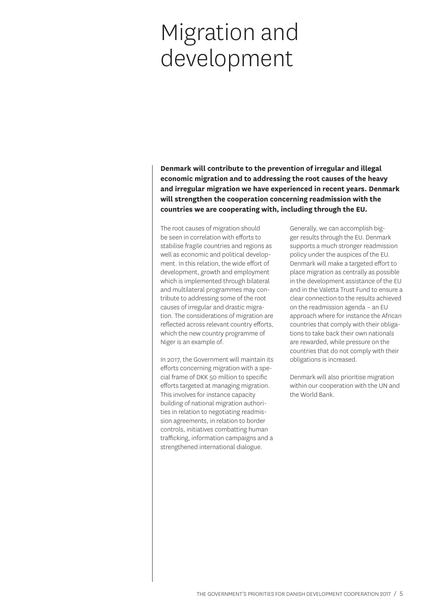# Migration and development

**Denmark will contribute to the prevention of irregular and illegal economic migration and to addressing the root causes of the heavy and irregular migration we have experienced in recent years. Denmark will strengthen the cooperation concerning readmission with the countries we are cooperating with, including through the EU.** 

The root causes of migration should be seen in correlation with efforts to stabilise fragile countries and regions as well as economic and political development. In this relation, the wide effort of development, growth and employment which is implemented through bilateral and multilateral programmes may contribute to addressing some of the root causes of irregular and drastic migration. The considerations of migration are reflected across relevant country efforts, which the new country programme of Niger is an example of.

In 2017, the Government will maintain its efforts concerning migration with a special frame of DKK 50 million to specific efforts targeted at managing migration. This involves for instance capacity building of national migration authorities in relation to negotiating readmission agreements, in relation to border controls, initiatives combatting human trafficking, information campaigns and a strengthened international dialogue.

Generally, we can accomplish bigger results through the EU. Denmark supports a much stronger readmission policy under the auspices of the EU. Denmark will make a targeted effort to place migration as centrally as possible in the development assistance of the EU and in the Valetta Trust Fund to ensure a clear connection to the results achieved on the readmission agenda – an EU approach where for instance the African countries that comply with their obligations to take back their own nationals are rewarded, while pressure on the countries that do not comply with their obligations is increased.

Denmark will also prioritise migration within our cooperation with the UN and the World Bank.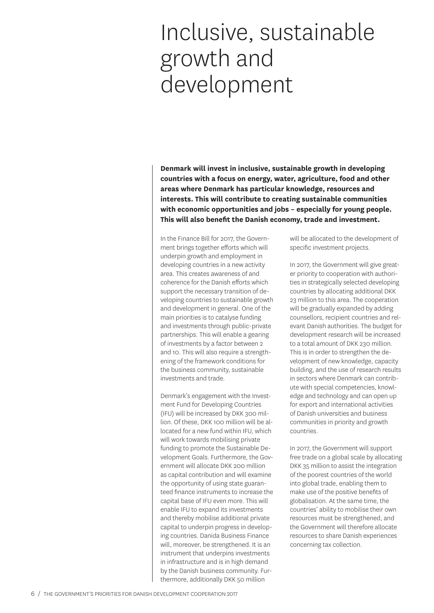# Inclusive, sustainable growth and development

**Denmark will invest in inclusive, sustainable growth in developing countries with a focus on energy, water, agriculture, food and other areas where Denmark has particular knowledge, resources and interests. This will contribute to creating sustainable communities with economic opportunities and jobs – especially for young people. This will also benefit the Danish economy, trade and investment.** 

In the Finance Bill for 2017, the Government brings together efforts which will underpin growth and employment in developing countries in a new activity area. This creates awareness of and coherence for the Danish efforts which support the necessary transition of developing countries to sustainable growth and development in general. One of the main priorities is to catalyse funding and investments through public-private partnerships. This will enable a gearing of investments by a factor between 2 and 10. This will also require a strengthening of the framework conditions for the business community, sustainable investments and trade.

Denmark's engagement with the Investment Fund for Developing Countries (IFU) will be increased by DKK 300 million. Of these, DKK 100 million will be allocated for a new fund within IFU, which will work towards mobilising private funding to promote the Sustainable Development Goals. Furthermore, the Government will allocate DKK 200 million as capital contribution and will examine the opportunity of using state guaranteed finance instruments to increase the capital base of IFU even more. This will enable IFU to expand its investments and thereby mobilise additional private capital to underpin progress in developing countries. Danida Business Finance will, moreover, be strengthened. It is an instrument that underpins investments in infrastructure and is in high demand by the Danish business community. Furthermore, additionally DKK 50 million

will be allocated to the development of specific investment projects.

In 2017, the Government will give greater priority to cooperation with authorities in strategically selected developing countries by allocating additional DKK 23 million to this area. The cooperation will be gradually expanded by adding counsellors, recipient countries and relevant Danish authorities. The budget for development research will be increased to a total amount of DKK 230 million. This is in order to strengthen the development of new knowledge, capacity building, and the use of research results in sectors where Denmark can contribute with special competencies, knowledge and technology and can open up for export and international activities of Danish universities and business communities in priority and growth countries.

In 2017, the Government will support free trade on a global scale by allocating DKK 35 million to assist the integration of the poorest countries of the world into global trade, enabling them to make use of the positive benefits of globalisation. At the same time, the countries' ability to mobilise their own resources must be strengthened, and the Government will therefore allocate resources to share Danish experiences concerning tax collection.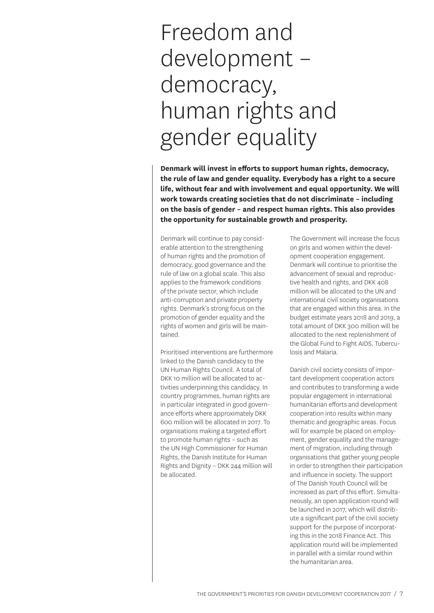# Freedom and development – democracy, human rights and gender equality

**Denmark will invest in efforts to support human rights, democracy, the rule of law and gender equality. Everybody has a right to a secure life, without fear and with involvement and equal opportunity. We will work towards creating societies that do not discriminate – including on the basis of gender – and respect human rights. This also provides the opportunity for sustainable growth and prosperity.**

Denmark will continue to pay considerable attention to the strengthening of human rights and the promotion of democracy, good governance and the rule of law on a global scale. This also applies to the framework conditions of the private sector, which include anti-corruption and private property rights. Denmark's strong focus on the promotion of gender equality and the rights of women and girls will be maintained.

Prioritised interventions are furthermore linked to the Danish candidacy to the UN Human Rights Council. A total of DKK 10 million will be allocated to activities underpinning this candidacy. In country programmes, human rights are in particular integrated in good governance efforts where approximately DKK 600 million will be allocated in 2017. To organisations making a targeted effort to promote human rights – such as the UN High Commissioner for Human Rights, the Danish Institute for Human Rights and Dignity – DKK 244 million will be allocated.

The Government will increase the focus on girls and women within the development cooperation engagement. Denmark will continue to prioritise the advancement of sexual and reproductive health and rights, and DKK 408 million will be allocated to the UN and international civil society organisations that are engaged within this area. In the budget estimate years 2018 and 2019, a total amount of DKK 300 million will be allocated to the next replenishment of the Global Fund to Fight AIDS, Tuberculosis and Malaria.

Danish civil society consists of important development cooperation actors and contributes to transforming a wide popular engagement in international humanitarian efforts and development cooperation into results within many thematic and geographic areas. Focus will for example be placed on employment, gender equality and the management of migration, including through organisations that gather young people in order to strengthen their participation and influence in society. The support of The Danish Youth Council will be increased as part of this effort. Simultaneously, an open application round will be launched in 2017, which will distribute a significant part of the civil society support for the purpose of incorporating this in the 2018 Finance Act. This application round will be implemented in parallel with a similar round within the humanitarian area.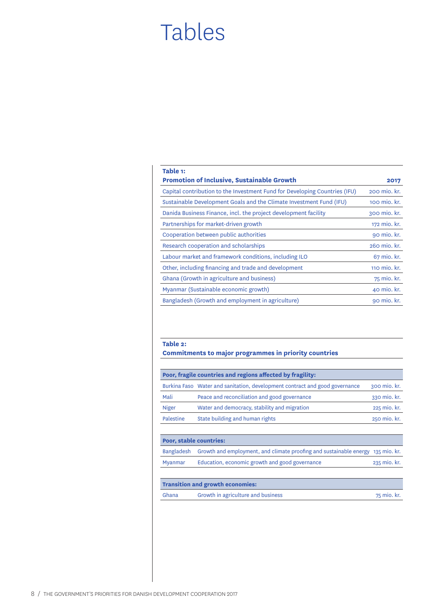### Tables

| Table 1:                                                                   |              |
|----------------------------------------------------------------------------|--------------|
| <b>Promotion of Inclusive, Sustainable Growth</b>                          | 2017         |
| Capital contribution to the Investment Fund for Developing Countries (IFU) | 200 mio. kr. |
| Sustainable Development Goals and the Climate Investment Fund (IFU)        | 100 mio. kr. |
| Danida Business Finance, incl. the project development facility            | 300 mio. kr. |
| Partnerships for market-driven growth                                      | 172 mio. kr. |
| Cooperation between public authorities                                     | 90 mio. kr.  |
| Research cooperation and scholarships                                      | 260 mio. kr. |
| Labour market and framework conditions, including ILO                      | 67 mio. kr.  |
| Other, including financing and trade and development                       | 110 mio. kr. |
| Ghana (Growth in agriculture and business)                                 | 75 mio. kr.  |
| Myanmar (Sustainable economic growth)                                      | 40 mio. kr.  |
| Bangladesh (Growth and employment in agriculture)                          | 90 mio. kr.  |

### **Table 2:**

**Commitments to major programmes in priority countries** 

|                         | Poor, fragile countries and regions affected by fragility:                  |              |
|-------------------------|-----------------------------------------------------------------------------|--------------|
|                         | Burkina Faso Water and sanitation, development contract and good governance | 300 mio. kr. |
| Mali                    | Peace and reconciliation and good governance                                | 330 mio. kr. |
| <b>Niger</b>            | Water and democracy, stability and migration                                | 225 mio. kr. |
| <b>Palestine</b>        | State building and human rights                                             | 250 mio. kr. |
|                         |                                                                             |              |
| Poor, stable countries: |                                                                             |              |
| <b>Bangladesh</b>       | Growth and employment, and climate proofing and sustainable energy          | 135 mio. kr. |
| Myanmar                 | Education, economic growth and good governance                              | 235 mio. kr. |
|                         |                                                                             |              |
|                         | <b>Transition and growth economies:</b>                                     |              |
| Ghana                   | Growth in agriculture and business                                          | 75 mio. kr.  |
|                         |                                                                             |              |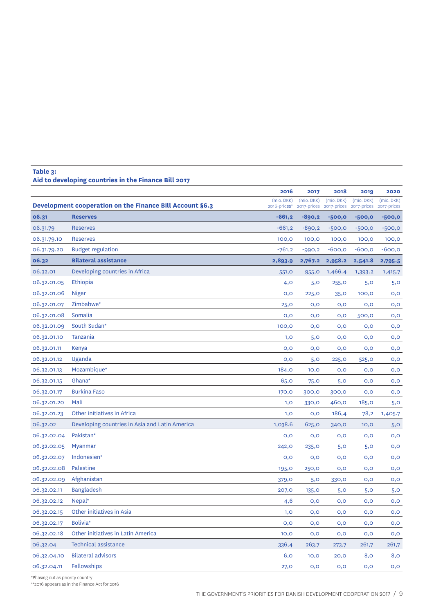### **Table 3: Aid to developing countries in the Finance Bill 2017**

|             |                                                          | 2016                       | 2017                      | 2018                      | 2019                      | 2020                      |
|-------------|----------------------------------------------------------|----------------------------|---------------------------|---------------------------|---------------------------|---------------------------|
|             | Development cooperation on the Finance Bill Account §6.3 | (mio. DKK)<br>2016-prices" | (mio. DKK)<br>2017-prices | (mio. DKK)<br>2017-prices | (mio. DKK)<br>2017-prices | (mio. DKK)<br>2017-prices |
| 06.31       | <b>Reserves</b>                                          | $-661,2$                   | $-890,2$                  | $-500,0$                  | $-500,0$                  | $-500,0$                  |
| 06.31.79    | <b>Reserves</b>                                          | $-661,2$                   | $-890,2$                  | $-500,0$                  | $-500,0$                  | $-500,0$                  |
| 06.31.79.10 | <b>Reserves</b>                                          | 100,0                      | 100,0                     | 100,0                     | 100,0                     | 100,0                     |
| 06.31.79.20 | <b>Budget regulation</b>                                 | $-761,2$                   | $-990,2$                  | $-600,0$                  | $-600,0$                  | $-600,0$                  |
| 06.32       | <b>Bilateral assistance</b>                              | 2,893.9                    | 2,767.2                   | 2,958.2                   | 2,541.8                   | 2,795.5                   |
| 06.32.01    | Developing countries in Africa                           | 551, O                     | 955,0                     | 1,466.4                   | 1,393.2                   | 1,415.7                   |
| 06.32.01.05 | Ethiopia                                                 | 4,0                        | 5,0                       | 255,0                     | 5,0                       | 5,0                       |
| 06.32.01.06 | Niger                                                    | O, O                       | <b>225,0</b>              | 35,0                      | 100,0                     | 0,0                       |
| 06.32.01.07 | Zimbabwe*                                                | 25,0                       | 0,0                       | O, O                      | 0,0                       | 0,0                       |
| 06.32.01.08 | Somalia                                                  | O, O                       | 0,0                       | 0,0                       | 500,0                     | 0,0                       |
| 06.32.01.09 | South Sudan*                                             | 100,0                      | 0,0                       | O, O                      | 0,0                       | 0,0                       |
| 06.32.01.10 | Tanzania                                                 | 1,0                        | 5,0                       | 0,0                       | 0,0                       | 0,0                       |
| 06.32.01.11 | Kenya                                                    | O, O                       | 0,0                       | 0,0                       | 0,0                       | O, O                      |
| 06.32.01.12 | Uganda                                                   | O, O                       | 5,0                       | 225,0                     | 525, O                    | 0,0                       |
| 06.32.01.13 | Mozambique*                                              | 184,0                      | 10,0                      | O, O                      | 0,0                       | 0,0                       |
| 06.32.01.15 | Ghana*                                                   | 65,0                       | 75,0                      | 5,0                       | 0,0                       | 0,0                       |
| 06.32.01.17 | <b>Burkina Faso</b>                                      | 170,0                      | 300,0                     | 300,0                     | 0,0                       | O, O                      |
| 06.32.01.20 | Mali                                                     | 1,0                        | 330,0                     | 460,0                     | 185,0                     | 5,0                       |
| 06.32.01.23 | Other initiatives in Africa                              | 1,0                        | 0,0                       | 186,4                     | 78,2                      | 1,405.7                   |
| 06.32.02    | Developing countries in Asia and Latin America           | 1,038.6                    | 625,0                     | 340,0                     | 10,0                      | 5,0                       |
| 06.32.02.04 | Pakistan*                                                | O, O                       | 0,0                       | O, O                      | 0,0                       | O, O                      |
| 06.32.02.05 | Myanmar                                                  | 242,0                      | 235,0                     | 5,0                       | 5,0                       | O, O                      |
| 06.32.02.07 | Indonesien*                                              | O, O                       | 0,0                       | 0,0                       | 0,0                       | O, O                      |
| 06.32.02.08 | Palestine                                                | <b>195,0</b>               | 250,0                     | 0,0                       | 0,0                       | O, O                      |
| 06.32.02.09 | Afghanistan                                              | 379,0                      | 5,0                       | 330,0                     | 0,0                       | 0,0                       |
| 06.32.02.11 | <b>Bangladesh</b>                                        | 207,0                      | 135,0                     | 5,0                       | 5,0                       | 5,0                       |
| 06.32.02.12 | Nepal <sup>*</sup>                                       | 4,6                        | 0,0                       | 0,0                       | 0,0                       | O, O                      |
| 06.32.02.15 | Other initiatives in Asia                                | 1,0                        | O, O                      | O, O                      | O, O                      | 0,0                       |
| 06.32.02.17 | Bolivia*                                                 | O, O                       | 0,0                       | 0,0                       | O, O                      | 0,0                       |
| 06.32.02.18 | Other initiatives in Latin America                       | 10,0                       | 0,0                       | 0,0                       | O, O                      | 0,0                       |
| 06.32.04    | <b>Technical assistance</b>                              | 336,4                      | 263,7                     | 273,7                     | 261,7                     | 261,7                     |
| 06.32.04.10 | <b>Bilateral advisors</b>                                | 6,0                        | 10,0                      | 20,0                      | 8,0                       | 8,0                       |
| 06.32.04.11 | <b>Fellowships</b>                                       | 27,0                       | O, O                      | 0,0                       | O, O                      | O, O                      |

\*Phasing out as priority country

\*\*2016 appears as in the Finance Act for 2016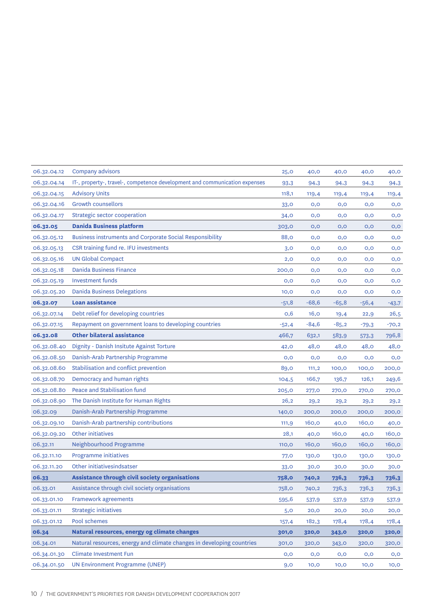| 06.32.04.12 | Company advisors                                                           | 25,0         | 40,0    | 40,0    | 40,0    | 40,0    |
|-------------|----------------------------------------------------------------------------|--------------|---------|---------|---------|---------|
| 06.32.04.14 | IT-, property-, travel-, competence development and communication expenses | 93,3         | 94,3    | 94,3    | 94,3    | 94,3    |
| 06.32.04.15 | <b>Advisory Units</b>                                                      | 118,1        | 119,4   | 119,4   | 119,4   | 119,4   |
| 06.32.04.16 | <b>Growth counsellors</b>                                                  | 33, O        | 0,0     | 0,0     | 0,0     | 0,0     |
| 06.32.04.17 | Strategic sector cooperation                                               | 34, O        | O, O    | 0,0     | 0,0     | 0,0     |
| 06.32.05    | <b>Danida Business platform</b>                                            | 303,0        | 0,0     | 0,0     | 0,0     | 0,0     |
| 06.32.05.12 | <b>Business instruments and Corporate Social Responsibility</b>            | 88,0         | O, O    | 0,0     | 0,0     | 0,0     |
| 06.32.05.13 | CSR training fund re. IFU investments                                      | 3,0          | 0,0     | 0,0     | O, O    | 0,0     |
| 06.32.05.16 | <b>UN Global Compact</b>                                                   | 2,0          | O, O    | 0,0     | O, O    | 0,0     |
| 06.32.05.18 | <b>Danida Business Finance</b>                                             | 200,0        | O, O    | 0,0     | 0,0     | 0,0     |
| 06.32.05.19 | <b>Investment funds</b>                                                    | 0,0          | O, O    | 0,0     | O, O    | 0,0     |
| 06.32.05.20 | <b>Danida Business Delegations</b>                                         | 10,0         | O, O    | 0,0     | 0,0     | 0,0     |
| 06.32.07    | <b>Loan assistance</b>                                                     | $-51,8$      | $-68,6$ | $-65,8$ | $-56,4$ | $-43,7$ |
| 06.32.07.14 | Debt relief for developing countries                                       | O,6          | 16,0    | 19,4    | 22,9    | 26,5    |
| 06.32.07.15 | Repayment on government loans to developing countries                      | $-52,4$      | $-84,6$ | $-85,2$ | $-79,3$ | $-70,2$ |
| 06.32.08    | <b>Other bilateral assistance</b>                                          | 466,7        | 632,1   | 583,9   | 573,3   | 796,8   |
| 06.32.08.40 | Dignity - Danish Insitute Against Torture                                  | 42,0         | 48,0    | 48,0    | 48,0    | 48,0    |
| 06.32.08.50 | Danish-Arab Partnership Programme                                          | O, O         | O, O    | 0,0     | 0,0     | 0,0     |
| 06.32.08.60 | Stabilisation and conflict prevention                                      | 89,0         | 111,2   | 100,0   | 100,0   | 200,0   |
| 06.32.08.70 | Democracy and human rights                                                 | 104,5        | 166,7   | 136,7   | 126,1   | 249,6   |
| 06.32.08.80 | Peace and Stabilisation fund                                               | 205,0        | 277,0   | 270,0   | 270,0   | 270,0   |
| 06.32.08.90 | The Danish Institute for Human Rights                                      | 26,2         | 29,2    | 29,2    | 29,2    | 29,2    |
| 06.32.09    | Danish-Arab Partnership Programme                                          | 140,0        | 200,0   | 200,0   | 200,0   | 200,0   |
| 06.32.09.10 | Danish-Arab partnership contributions                                      | 111,9        | 160,0   | 40,0    | 160,0   | 40,0    |
| 06.32.09.20 | Other initiatives                                                          | 28,1         | 40,0    | 160,0   | 40,0    | 160,0   |
| 06.32.11    | Neighbourhood Programme                                                    | 110,0        | 160,0   | 160,0   | 160,0   | 160,0   |
| 06.32.11.10 | Programme initiatives                                                      | 77,0         | 130,0   | 130,0   | 130,0   | 130,0   |
| 06.32.11.20 | Other initiativesindsatser                                                 | 33, O        | 30,0    | 30,0    | 30,0    | 30,0    |
| 06.33       | Assistance through civil society organisations                             | <b>758,0</b> | 740,2   | 736,3   | 736,3   | 736,3   |
| 06.33.01    | Assistance through civil society organisations                             | 758,0        | 740,2   | 736,3   | 736,3   | 736,3   |
| 06.33.01.10 | <b>Framework agreements</b>                                                | 595,6        | 537,9   | 537,9   | 537,9   | 537,9   |
| 06.33.01.11 | <b>Strategic initiatives</b>                                               | 5,0          | 20,0    | 20,0    | 20,0    | 20,0    |
| 06.33.01.12 | Pool schemes                                                               | 157,4        | 182,3   | 178,4   | 178,4   | 178,4   |
| 06.34       | Natural resources, energy og climate changes                               | 301,0        | 320,0   | 343,0   | 320,0   | 320,0   |
| 06.34.01    | Natural resources, energy and climate changes in developing countries      | 301,0        | 320,0   | 343,0   | 320,0   | 320,0   |
| 06.34.01.30 | <b>Climate Investment Fun</b>                                              | 0,0          | O, O    | O, O    | O, O    | o,o     |
| 06.34.01.50 | UN Environment Programme (UNEP)                                            | 9,0          | 10,0    | 10,0    | 10,0    | 10,0    |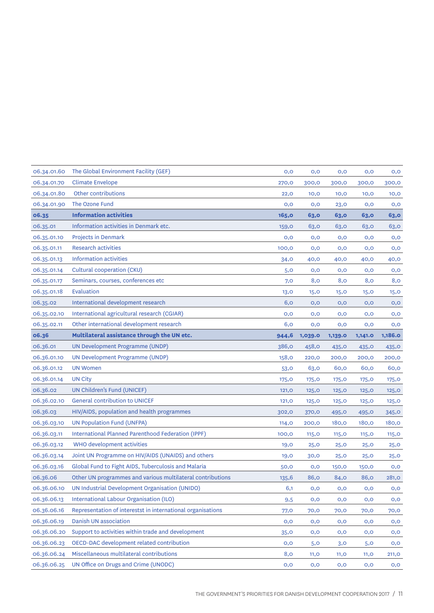| 06.34.01.60 | The Global Environment Facility (GEF)                       | O, O         | O, O    | 0,0     | O, O         | 0,0     |
|-------------|-------------------------------------------------------------|--------------|---------|---------|--------------|---------|
| 06.34.01.70 | <b>Climate Envelope</b>                                     | 270,0        | 300,0   | 300,0   | 300,0        | 300,0   |
| 06.34.01.80 | Other contributions                                         | 22,0         | 10,0    | 10,0    | 10,0         | 10,0    |
| 06.34.01.90 | The Ozone Fund                                              | 0,0          | 0,0     | 23,0    | 0,0          | 0,0     |
| 06.35       | <b>Information activities</b>                               | 165,0        | 63,0    | 63,0    | 63,0         | 63,0    |
| 06.35.01    | Information activities in Denmark etc.                      | <b>159,0</b> | 63,0    | 63,0    | 63,0         | 63,0    |
| 06.35.01.10 | Projects in Denmark                                         | 0,0          | O, O    | 0,0     | O, O         | 0,0     |
| 06.35.01.11 | <b>Research activities</b>                                  | 100,0        | 0,0     | 0,0     | 0,0          | 0,0     |
| 06.35.01.13 | <b>Information activities</b>                               | 34, O        | 40,0    | 40,0    | 40,0         | 40,0    |
| 06.35.01.14 | Cultural cooperation (CKU)                                  | 5,0          | 0,0     | 0,0     | O, O         | 0,0     |
| 06.35.01.17 | Seminars, courses, conferences etc                          | 7,0          | 8,0     | 8,0     | 8,0          | 8,0     |
| 06.35.01.18 | Evaluation                                                  | 13,0         | 15,0    | 15,0    | 15,0         | 15,0    |
| 06.35.02    | International development research                          | 6,0          | 0,0     | 0,0     | O, O         | 0,0     |
| 06.35.02.10 | International agricultural research (CGIAR)                 | 0,0          | 0,0     | 0,0     | O, O         | 0,0     |
| 06.35.02.11 | Other international development research                    | 6,0          | O, O    | 0,0     | O, O         | 0,0     |
| 06.36       | Multilateral assistance through the UN etc.                 | 944,6        | 1,039.0 | 1,139.0 | 1,141.0      | 1,186.0 |
| 06.36.01    | UN Development Programme (UNDP)                             | 386,0        | 458,0   | 435,0   | 435,0        | 435, O  |
| 06.36.01.10 | UN Development Programme (UNDP)                             | <b>158,0</b> | 220,0   | 200,0   | 200,0        | 200,0   |
| 06.36.01.12 | <b>UN Women</b>                                             | 53, O        | 63,0    | 60,0    | 60,0         | 60,0    |
| 06.36.01.14 | <b>UN City</b>                                              | <b>175,0</b> | 175, O  | 175, O  | 175,0        | 175, O  |
| 06.36.02    | UN Children's Fund (UNICEF)                                 | <b>121,0</b> | 125,0   | 125,0   | 125,0        | 125,0   |
| 06.36.02.10 | General contribution to UNICEF                              | 121,0        | 125,0   | 125,0   | <b>125,0</b> | 125,0   |
| 06.36.03    | HIV/AIDS, population and health programmes                  | 302,0        | 370,0   | 495,0   | 495,0        | 345, O  |
| 06.36.03.10 | <b>UN Population Fund (UNFPA)</b>                           | 114,0        | 200,0   | 180,0   | 180,0        | 180,0   |
| 06.36.03.11 | <b>International Planned Parenthood Federation (IPPF)</b>   | 100,0        | 115,0   | 115,0   | 115,0        | 115,0   |
| 06.36.03.12 | WHO development activities                                  | 19,0         | 25,0    | 25,0    | 25,0         | 25,0    |
| 06.36.03.14 | Joint UN Programme on HIV/AIDS (UNAIDS) and others          | 19,0         | 30,0    | 25,0    | 25,0         | 25,0    |
| 06.36.03.16 | Global Fund to Fight AIDS, Tuberculosis and Malaria         | 50,0         | 0,0     | 150,0   | 150,0        | O, O    |
| 06.36.06    | Other UN programmes and various multilateral contributions  | 135,6        | 86,0    | 84,0    | 86,0         | 281,0   |
|             | 06.36.06.10 UN Industrial Development Organisation (UNIDO)  | 6,1          | O,O     | O, O    | 0,0          | O, O    |
| 06.36.06.13 | International Labour Organisation (ILO)                     | 9,5          | 0,0     | 0,0     | O, O         | 0,0     |
| 06.36.06.16 | Representation of interestst in international organisations | <b>77,0</b>  | 70,0    | 70,0    | 70,0         | 70,0    |
| 06.36.06.19 | Danish UN association                                       | O, O         | 0,0     | 0,0     | O, O         | 0,0     |
| 06.36.06.20 | Support to activities within trade and development          | 35,0         | 0,0     | O, O    | O, O         | 0,0     |
| 06.36.06.23 | OECD-DAC development related contribution                   | O, O         | 5,0     | 3,0     | 5,0          | 0,0     |
| 06.36.06.24 | Miscellaneous multilateral contributions                    | 8,0          | 11,0    | 11,0    | 11,0         | 211, O  |
| 06.36.06.25 | UN Office on Drugs and Crime (UNODC)                        | O, O         | 0,0     | 0,0     | O, O         | O,O     |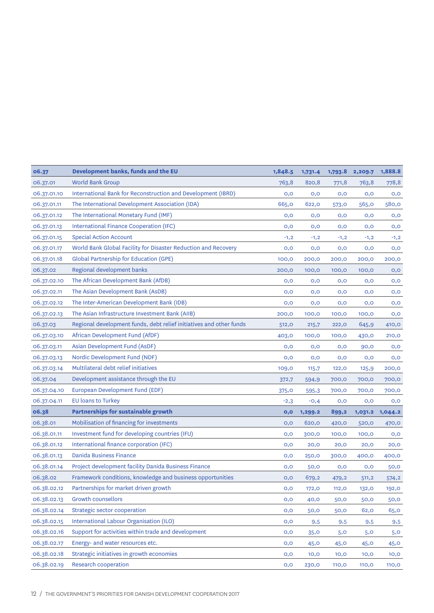| 06.37       | Development banks, funds and the EU                                 | 1,848.5 | 1,731.4 | 1,793.8      | 2,209.7 | 1,888.8 |
|-------------|---------------------------------------------------------------------|---------|---------|--------------|---------|---------|
| 06.37.01    | <b>World Bank Group</b>                                             | 763,8   | 820,8   | 771,8        | 763,8   | 778,8   |
| 06.37.01.10 | International Bank for Reconstruction and Development (IBRD)        | O, O    | O, O    | 0,0          | 0,0     | O, O    |
| 06.37.01.11 | The International Development Association (IDA)                     | 665,0   | 622,0   | 573,0        | 565,0   | 580,0   |
| 06.37.01.12 | The International Monetary Fund (IMF)                               | O, O    | 0,0     | 0,0          | 0,0     | O, O    |
| 06.37.01.13 | International Finance Cooperation (IFC)                             | 0,0     | 0,0     | 0,0          | 0,0     | 0,0     |
| 06.37.01.15 | <b>Special Action Account</b>                                       | $-1,2$  | $-1,2$  | $-1,2$       | $-1,2$  | $-1,2$  |
| 06.37.01.17 | World Bank Global Facility for Disaster Reduction and Recovery      | 0,0     | 0,0     | 0,0          | 0,0     | 0,0     |
| 06.37.01.18 | <b>Global Partnership for Education (GPE)</b>                       | 100,0   | 200,0   | 200,0        | 200,0   | 200,0   |
| 06.37.02    | Regional development banks                                          | 200,0   | 100,0   | 100,0        | 100,0   | 0,0     |
| 06.37.02.10 | The African Development Bank (AfDB)                                 | O, O    | 0,0     | 0,0          | 0,0     | 0,0     |
| 06.37.02.11 | The Asian Development Bank (AsDB)                                   | O, O    | O, O    | 0,0          | 0,0     | 0,0     |
| 06.37.02.12 | The Inter-American Development Bank (IDB)                           | 0,0     | 0,0     | 0,0          | 0,0     | 0,0     |
| 06.37.02.13 | The Asian Infrastructure Investment Bank (AIIB)                     | 200,0   | 100,0   | 100,0        | 100,0   | 0,0     |
| 06.37.03    | Regional development funds, debt relief initiatives and other funds | 512,0   | 215,7   | 222,0        | 645,9   | 410,0   |
| 06.37.03.10 | African Development Fund (AfDF)                                     | 403,0   | 100,0   | 100,0        | 430,0   | 210,0   |
| 06.37.03.11 | Asian Development Fund (AsDF)                                       | O, O    | O, O    | 0,0          | 90,0    | 0,0     |
| 06.37.03.13 | Nordic Development Fund (NDF)                                       | 0,0     | O, O    | 0,0          | 0,0     | 0,0     |
| 06.37.03.14 | Multilateral debt relief initiatives                                | 109,0   | 115,7   | 122,0        | 125,9   | 200,0   |
| 06.37.04    | Development assistance through the EU                               | 372,7   | 594,9   | 700,0        | 700,0   | 700,0   |
| 06.37.04.10 | European Development Fund (EDF)                                     | 375, O  | 595,3   | 700,0        | 700,0   | 700,0   |
| 06.37.04.11 | EU loans to Turkey                                                  | $-2,3$  | $-0,4$  | 0,0          | 0,0     | 0,0     |
| 06.38       | <b>Partnerships for sustainable growth</b>                          | 0,0     | 1,299.2 | 899,2        | 1,031.2 | 1,044.2 |
| 06.38.01    | Mobilisation of financing for investments                           | O, O    | 620,0   | 420,0        | 520,0   | 470,0   |
| 06.38.01.11 | Investment fund for developing countries (IFU)                      | O, O    | 300,0   | 100,0        | 100,0   | 0,0     |
| 06.38.01.12 | International finance corporation (IFC)                             | 0,0     | 20,0    | 20,0         | 20,0    | 20,0    |
| 06.38.01.13 | <b>Danida Business Finance</b>                                      | 0,0     | 250,0   | 300,0        | 400,0   | 400,0   |
| 06.38.01.14 | Project development facility Danida Business Finance                | 0,0     | 50,0    | 0,0          | O, O    | 50,0    |
| 06.38.02    | Framework conditions, knowledge and business opportunities          | O, O    | 679,2   | 479,2        | 511,2   | 574,2   |
| 06.38.02.12 | Partnerships for market driven growth                               | 0,0     | 172,0   | <b>112,0</b> | 132,0   | 192,0   |
| 06.38.02.13 | <b>Growth counsellors</b>                                           | O, O    | 40,0    | 50,0         | 50,0    | 50,0    |
| 06.38.02.14 | Strategic sector cooperation                                        | 0,0     | 50,0    | 50,0         | 62,0    | 65,0    |
| 06.38.02.15 | International Labour Organisation (ILO)                             | 0,0     | 9,5     | 9,5          | 9,5     | 9,5     |
| 06.38.02.16 | Support for activities within trade and development                 | 0,0     | 35,0    | 5,0          | 5,0     | 5,0     |
| 06.38.02.17 | Energy- and water resources etc.                                    | 0,0     | 45,0    | 45,0         | 45,0    | 45,0    |
| 06.38.02.18 | Strategic initiatives in growth economies                           | 0,0     | 10,0    | 10,0         | 10,0    | 10,0    |
| 06.38.02.19 | <b>Research cooperation</b>                                         | 0,0     | 230,0   | <b>110,0</b> | 110,0   | 110,0   |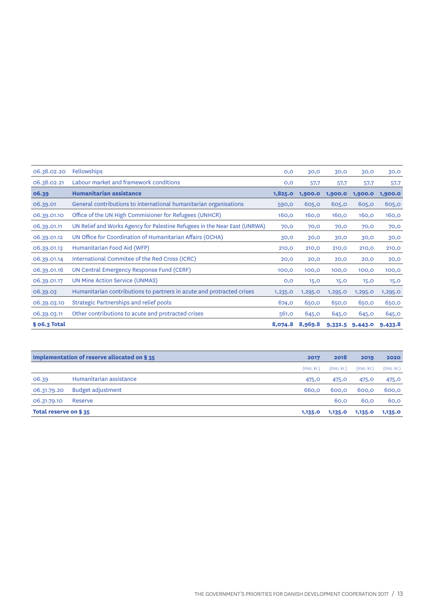| 06.38.02.20  | <b>Fellowships</b>                                                         | O, O    | 30,0    | 30,0    | 30,0    | 30,0    |
|--------------|----------------------------------------------------------------------------|---------|---------|---------|---------|---------|
| 06.38.02.21  | Labour market and framework conditions                                     | O, O    | 57,7    | 57,7    | 57,7    | 57,7    |
| 06.39        | Humanitarian assistance                                                    | 1,825.0 | 1,900.0 | 1,900.0 | 1,900.0 | 1,900.0 |
| 06.39.01     | General contributions to international humanitarian organisations          | 590,0   | 605,0   | 605,0   | 605,0   | 605,0   |
| 06.39.01.10  | Office of the UN High Commisioner for Refugees (UNHCR)                     | 160,0   | 160,0   | 160,0   | 160,0   | 160,0   |
| 06.39.01.11  | UN Relief and Works Agency for Palestine Refugees in the Near East (UNRWA) | 70,0    | 70,0    | 70,0    | 70,0    | 70,0    |
| 06.39.01.12  | UN Office for Coordination of Humanitarian Affairs (OCHA)                  | 30,0    | 30,0    | 30,0    | 30,0    | 30,0    |
| 06.39.01.13  | Humanitarian Food Aid (WFP)                                                | 210,0   | 210,0   | 210,0   | 210,0   | 210,0   |
| 06.39.01.14  | International Commitee of the Red Cross (ICRC)                             | 20,0    | 20,0    | 20,0    | 20,0    | 20,0    |
| 06.39.01.16  | UN Central Emergency Response Fund (CERF)                                  | 100,0   | 100,0   | 100,0   | 100,0   | 100,0   |
| 06.39.01.17  | UN Mine Action Service (UNMAS)                                             | O, O    | 15,0    | 15,0    | 15,0    | 15,0    |
| 06.39.03     | Humanitarian contributions to partners in acute and protracted crises      | 1,235.0 | 1,295.0 | 1,295.0 | 1,295.0 | 1,295.0 |
| 06.39.03.10  | Strategic Partnerships and relief pools                                    | 674,0   | 650,0   | 650,0   | 650,0   | 650,0   |
| 06.39.03.11  | Other contributions to acute and protracted crises                         | 561, O  | 645,0   | 645,0   | 645,0   | 645,0   |
| § 06.3 Total |                                                                            | 8,074.8 | 8,969.8 | 9,332.5 | 9,443.0 | 9,433.8 |

|                       | Implementation of reserve allocated on § 35 | 2017       | 2018       | 2019       | 2020       |
|-----------------------|---------------------------------------------|------------|------------|------------|------------|
|                       |                                             | (mio. kr.) | (mio. kr.) | (mio. kr.) | (mio. kr.) |
| 06.39                 | Humanitarian assistance                     | 475,0      | 475,0      | 475,0      | 475,0      |
| 06.31.79.20           | <b>Budget adjustment</b>                    | 660.0      | 600.0      | 600.0      | 600,0      |
| 06.31.79.10           | Reserve                                     |            | 60.0       | 60.0       | 60,0       |
| Total reserve on § 35 |                                             | 1,135.0    | 1,135.0    | 1,135.0    | 1,135.0    |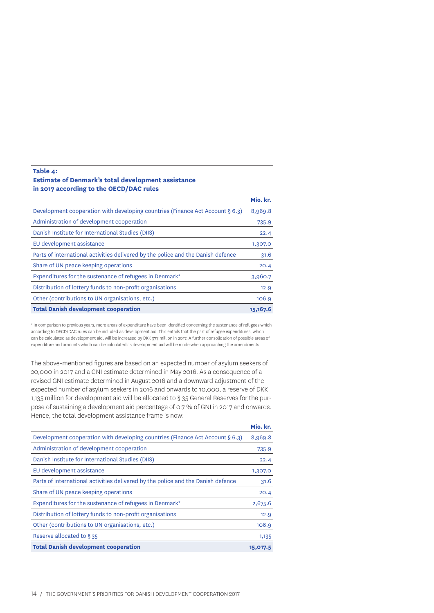### **Table 4: Estimate of Denmark's total development assistance in 2017 according to the OECD/DAC rules**

|                                                                                  | Mio. kr.  |
|----------------------------------------------------------------------------------|-----------|
| Development cooperation with developing countries (Finance Act Account § 6.3)    | 8,969.8   |
| Administration of development cooperation                                        | 735.9     |
| Danish Institute for International Studies (DIIS)                                | 22.4      |
| EU development assistance                                                        | 1,307.0   |
| Parts of international activities delivered by the police and the Danish defence | 31.6      |
| Share of UN peace keeping operations                                             | 20.4      |
| Expenditures for the sustenance of refugees in Denmark*                          | 3,960.7   |
| Distribution of lottery funds to non-profit organisations                        | 12.9      |
| Other (contributions to UN organisations, etc.)                                  | 106.9     |
| <b>Total Danish development cooperation</b>                                      | 15, 167.6 |

\* In comparison to previous years, more areas of expenditure have been identified concerning the sustenance of refugees which according to OECD/DAC rules can be included as development aid. This entails that the part of refugee expenditures, which can be calculated as development aid, will be increased by DKK 377 million in 2017. A further consolidation of possible areas of expenditure and amounts which can be calculated as development aid will be made when approaching the amendments.

The above-mentioned figures are based on an expected number of asylum seekers of 20,000 in 2017 and a GNI estimate determined in May 2016. As a consequence of a revised GNI estimate determined in August 2016 and a downward adjustment of the expected number of asylum seekers in 2016 and onwards to 10,000, a reserve of DKK 1,135 million for development aid will be allocated to § 35 General Reserves for the purpose of sustaining a development aid percentage of 0.7 % of GNI in 2017 and onwards. Hence, the total development assistance frame is now:

|                                                                                  | Mio. kr. |
|----------------------------------------------------------------------------------|----------|
| Development cooperation with developing countries (Finance Act Account § 6.3)    | 8,969.8  |
| Administration of development cooperation                                        | 735.9    |
| Danish Institute for International Studies (DIIS)                                | 22.4     |
| EU development assistance                                                        | 1,307.0  |
| Parts of international activities delivered by the police and the Danish defence | 31.6     |
| Share of UN peace keeping operations                                             | 20.4     |
| Expenditures for the sustenance of refugees in Denmark*                          | 2,675.6  |
| Distribution of lottery funds to non-profit organisations                        | 12.9     |
| Other (contributions to UN organisations, etc.)                                  | 106.9    |
| Reserve allocated to §35                                                         | 1,135    |
| <b>Total Danish development cooperation</b>                                      | 15,017.5 |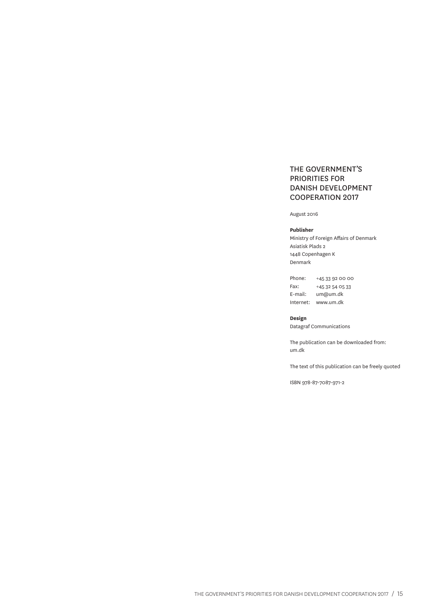### THE GOVERNMENT'S PRIORITIES FOR DANISH DEVELOPMENT COOPERATION 2017

August 2016

#### **Publisher**

Ministry of Foreign Affairs of Denmark Asiatisk Plads 2 1448 Copenhagen K Denmark

Phone: +45 33 92 00 00 Fax: +45 32 54 05 33 E-mail: um@um.dk Internet: www.um.dk

**Design**

Datagraf Communications

The publication can be downloaded from: um.dk

The text of this publication can be freely quoted

ISBN 978-87-7087-971-2